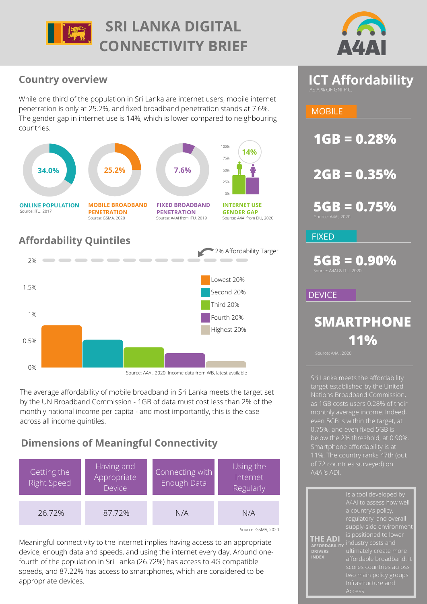



# **Country overview**

While one third of the population in Sri Lanka are internet users, mobile internet penetration is only at 25.2%, and fixed broadband penetration stands at 7.6%. The gender gap in internet use is 14%, which is lower compared to neighbouring countries.



Source: A4AI, 2020. Income data from WB, latest available

The average affordability of mobile broadband in Sri Lanka meets the target set by the UN Broadband Commission - 1GB of data must cost less than 2% of the monthly national income per capita - and most importantly, this is the case across all income quintiles.

# **Dimensions of Meaningful Connectivity**

| Getting the<br><b>Right Speed</b> | Having and<br>Appropriate<br><b>Device</b> | Connecting with<br>Enough Data | Using the<br>Internet<br>Regularly |
|-----------------------------------|--------------------------------------------|--------------------------------|------------------------------------|
| 26.72%                            | 87.72%                                     | N/A                            | N/A                                |

Source: GSMA, 2020

Meaningful connectivity to the internet implies having access to an appropriate device, enough data and speeds, and using the internet every day. Around onefourth of the population in Sri Lanka (26.72%) has access to 4G compatible speeds, and 87.22% has access to smartphones, which are considered to be appropriate devices.

# **ICT Affordability**

# **MOBILE**

**1GB = 0.28%**

**2GB = 0.35%**

**5GB = 0.75%**

FIXED

**5GB = 0.90%**

### **DEVICE**

# **SMARTPHONE 11%**

**THE ADI**

target established by the United monthly average income. Indeed, even 5GB is within the target, at 0.75%, and even fixed 5GB is

A4AI to assess how well regulatory, and overall industry costs and Infrastructure and **AFFORDABILITY DRIVERS INDEX**